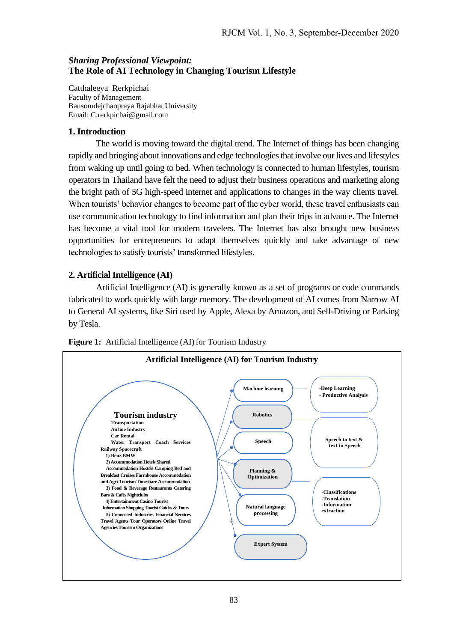## *Sharing Professional Viewpoint:* **The Role of AI Technology in Changing Tourism Lifestyle**

Catthaleeya Rerkpichai Faculty of Management Bansomdejchaopraya Rajabhat University Email: [C.rerkpichai@gmail.com](mailto:C.rerkpichai@gmail.com)

## **1. Introduction**

The world is moving toward the digital trend. The Internet of things has been changing rapidly and bringing about innovations and edge technologies that involve our lives and lifestyles from waking up until going to bed. When technology is connected to human lifestyles, tourism operators in Thailand have felt the need to adjust their business operations and marketing along the bright path of 5G high-speed internet and applications to changes in the way clients travel. When tourists' behavior changes to become part of the cyber world, these travel enthusiasts can use communication technology to find information and plan their trips in advance. The Internet has become a vital tool for modern travelers. The Internet has also brought new business opportunities for entrepreneurs to adapt themselves quickly and take advantage of new technologies to satisfy tourists' transformed lifestyles.

# **2. Artificial Intelligence (AI)**

Artificial Intelligence (AI) is generally known as a set of programs or code commands fabricated to work quickly with large memory. The development of AI comes from Narrow AI to General AI systems, like Siri used by Apple, Alexa by Amazon, and Self-Driving or Parking by Tesla.



**Figure 1:** Artificial Intelligence (AI) for Tourism Industry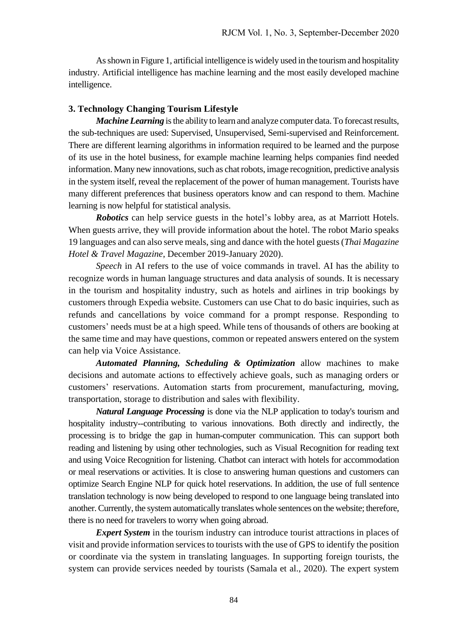As shown in Figure 1, artificial intelligence is widely used in the tourismand hospitality industry. Artificial intelligence has machine learning and the most easily developed machine intelligence.

## **3. Technology Changing Tourism Lifestyle**

*Machine Learning* is the ability to learn and analyze computer data. To forecast results, the sub-techniques are used: Supervised, Unsupervised, Semi-supervised and Reinforcement. There are different learning algorithms in information required to be learned and the purpose of its use in the hotel business, for example machine learning helps companies find needed information. Many new innovations, such as chat robots, image recognition, predictive analysis in the system itself, reveal the replacement of the power of human management. Tourists have many different preferences that business operators know and can respond to them. Machine learning is now helpful for statistical analysis.

*Robotics* can help service guests in the hotel's lobby area, as at Marriott Hotels. When guests arrive, they will provide information about the hotel. The robot Mario speaks 19 languages and can also serve meals, sing and dance with the hotel guests (*Thai Magazine Hotel & Travel Magazine*, December 2019-January 2020).

*Speech* in AI refers to the use of voice commands in travel. AI has the ability to recognize words in human language structures and data analysis of sounds. It is necessary in the tourism and hospitality industry, such as hotels and airlines in trip bookings by customers through Expedia website. Customers can use Chat to do basic inquiries, such as refunds and cancellations by voice command for a prompt response. Responding to customers' needs must be at a high speed. While tens of thousands of others are booking at the same time and may have questions, common or repeated answers entered on the system can help via Voice Assistance.

*Automated Planning, Scheduling & Optimization* allow machines to make decisions and automate actions to effectively achieve goals, such as managing orders or customers' reservations. Automation starts from procurement, manufacturing, moving, transportation, storage to distribution and sales with flexibility.

*Natural Language Processing* is done via the NLP application to today's tourism and hospitality industry--contributing to various innovations. Both directly and indirectly, the processing is to bridge the gap in human-computer communication. This can support both reading and listening by using other technologies, such as Visual Recognition for reading text and using Voice Recognition for listening. Chatbot can interact with hotels for accommodation or meal reservations or activities. It is close to answering human questions and customers can optimize Search Engine NLP for quick hotel reservations. In addition, the use of full sentence translation technology is now being developed to respond to one language being translated into another. Currently, the system automatically translates whole sentences on the website; therefore, there is no need for travelers to worry when going abroad.

*Expert System* in the tourism industry can introduce tourist attractions in places of visit and provide information services to tourists with the use of GPS to identify the position or coordinate via the system in translating languages. In supporting foreign tourists, the system can provide services needed by tourists [\(Samala et al.](https://www.emerald.com/insight/search?q=Nagaraj%20Samala), 2020). The expert system